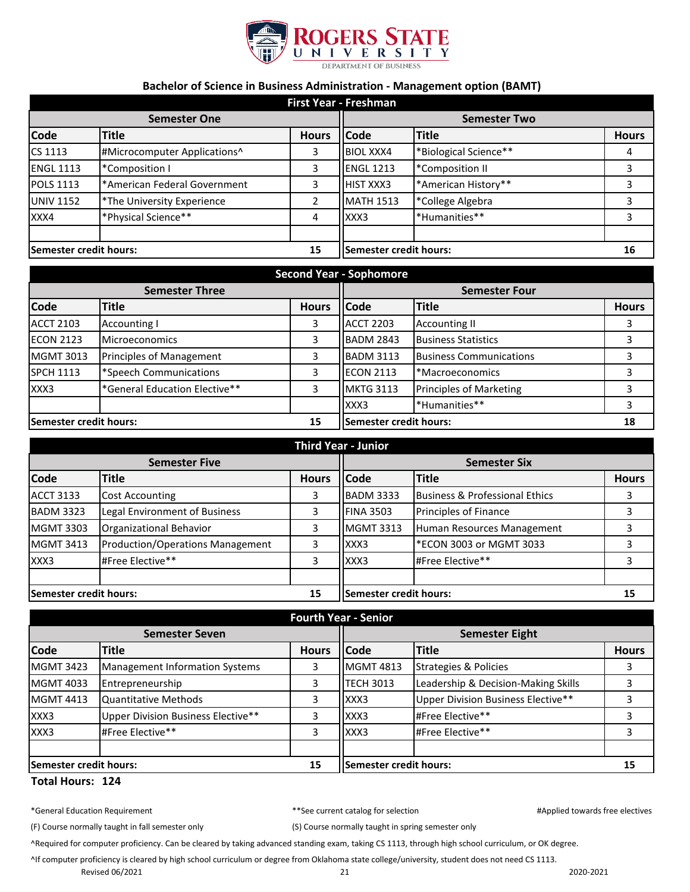

## **Bachelor of Science in Business Administration - Management option (BAMT)**

| First Year - Freshman  |                              |                |                        |                       |              |
|------------------------|------------------------------|----------------|------------------------|-----------------------|--------------|
| <b>Semester One</b>    |                              |                | <b>Semester Two</b>    |                       |              |
| <b>Code</b>            | <b>Title</b>                 | <b>Hours</b>   | <b>Code</b>            | <b>Title</b>          | <b>Hours</b> |
| CS 1113                | #Microcomputer Applications^ | 3              | <b>BIOL XXX4</b>       | *Biological Science** | 4            |
| <b>ENGL 1113</b>       | *Composition I               | 3              | <b>ENGL 1213</b>       | *Composition II       | 3            |
| <b>POLS 1113</b>       | *American Federal Government | 3              | <b>HIST XXX3</b>       | *American History**   | 3            |
| <b>UNIV 1152</b>       | *The University Experience   | $\overline{2}$ | <b>MATH 1513</b>       | *College Algebra      | 3            |
| XXX4                   | *Physical Science**          | 4              | XXX3                   | *Humanities**         | 3            |
| Semester credit hours: |                              | 15             | Semester credit hours: |                       | 16           |

| <b>Second Year - Sophomore</b> |                               |              |                        |                                |              |
|--------------------------------|-------------------------------|--------------|------------------------|--------------------------------|--------------|
| <b>Semester Three</b>          |                               |              | <b>Semester Four</b>   |                                |              |
| <b>Code</b>                    | <b>Title</b>                  | <b>Hours</b> | <b>Code</b>            | <b>Title</b>                   | <b>Hours</b> |
| <b>ACCT 2103</b>               | Accounting I                  | 3            | <b>ACCT 2203</b>       | <b>Accounting II</b>           |              |
| <b>ECON 2123</b>               | <b>Microeconomics</b>         | 3            | <b>BADM 2843</b>       | <b>Business Statistics</b>     |              |
| <b>MGMT 3013</b>               | Principles of Management      | 3            | <b>BADM 3113</b>       | <b>Business Communications</b> |              |
| <b>SPCH 1113</b>               | *Speech Communications        | 3            | <b>ECON 2113</b>       | *Macroeconomics                |              |
| XXX3                           | *General Education Elective** | 3            | <b>MKTG 3113</b>       | <b>Principles of Marketing</b> |              |
|                                |                               |              | XXX3                   | *Humanities**                  |              |
| Semester credit hours:<br>15   |                               |              | Semester credit hours: |                                | 18           |

| <b>Third Year - Junior</b> |                                         |              |                        |                                |              |
|----------------------------|-----------------------------------------|--------------|------------------------|--------------------------------|--------------|
| <b>Semester Five</b>       |                                         |              | <b>Semester Six</b>    |                                |              |
| <b>Code</b>                | <b>Title</b>                            | <b>Hours</b> | <b>Code</b>            | Title                          | <b>Hours</b> |
| <b>ACCT 3133</b>           | Cost Accounting                         | 3            | <b>BADM 3333</b>       | Business & Professional Ethics |              |
| <b>BADM 3323</b>           | Legal Environment of Business           | 3            | <b>FINA 3503</b>       | Principles of Finance          |              |
| <b>MGMT 3303</b>           | Organizational Behavior                 | 3            | <b>MGMT 3313</b>       | Human Resources Management     |              |
| <b>MGMT 3413</b>           | <b>Production/Operations Management</b> | 3            | XXX3                   | *ECON 3003 or MGMT 3033        |              |
| XXX3                       | #Free Elective**                        | 3            | XXX3                   | #Free Elective**               | 3            |
|                            |                                         |              |                        |                                |              |
| Semester credit hours:     |                                         | 15           | Semester credit hours: |                                | 15           |

| <b>Fourth Year - Senior</b>   |                                       |              |                               |                                     |              |
|-------------------------------|---------------------------------------|--------------|-------------------------------|-------------------------------------|--------------|
| <b>Semester Seven</b>         |                                       |              | <b>Semester Eight</b>         |                                     |              |
| <b>Code</b>                   | <b>Title</b>                          | <b>Hours</b> | <b>Code</b>                   | <b>Title</b>                        | <b>Hours</b> |
| <b>MGMT 3423</b>              | <b>Management Information Systems</b> | 3            | <b>MGMT 4813</b>              | Strategies & Policies               |              |
| <b>MGMT 4033</b>              | Entrepreneurship                      | 3            | <b>TECH 3013</b>              | Leadership & Decision-Making Skills |              |
| <b>MGMT 4413</b>              | <b>Quantitative Methods</b>           | 3            | XXX3                          | Upper Division Business Elective**  |              |
| XXX3                          | Upper Division Business Elective**    | 3            | XXX3                          | #Free Elective**                    |              |
| XXX3                          | #Free Elective**                      | 3            | XXX3                          | #Free Elective**                    |              |
|                               |                                       |              |                               |                                     |              |
| <b>Semester credit hours:</b> |                                       | 15           | <b>Semester credit hours:</b> |                                     | 15           |

## **Total Hours: 124**

|  |  | *General Education Requirement |
|--|--|--------------------------------|
|--|--|--------------------------------|

t the current catalog for selection and the property of the selectives selectives and the selectives of the selectives of the selectives of the selectives of the selectives of the selectives of the selectives of the select

(F) Course normally taught in fall semester only (S) Course normally taught in spring semester only

^Required for computer proficiency. Can be cleared by taking advanced standing exam, taking CS 1113, through high school curriculum, or OK degree.

^If computer proficiency is cleared by high school curriculum or degree from Oklahoma state college/university, student does not need CS 1113.

Revised 06/2021 2020-2021 21 2020-2021 2020-2021